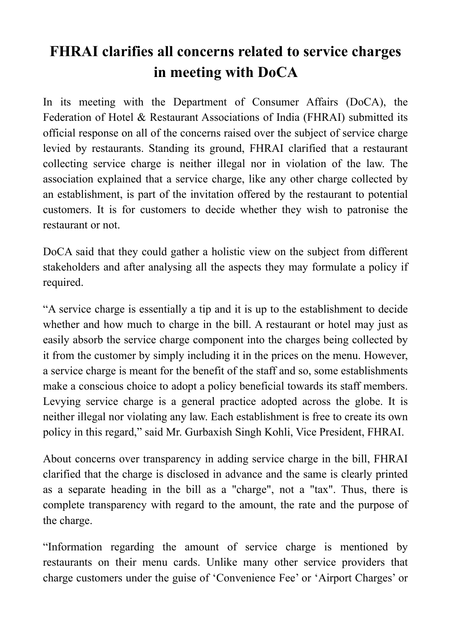## **FHRAI clarifies all concerns related to service charges in meeting with DoCA**

In its meeting with the Department of Consumer Affairs (DoCA), the Federation of Hotel & Restaurant Associations of India (FHRAI) submitted its official response on all of the concerns raised over the subject of service charge levied by restaurants. Standing its ground, FHRAI clarified that a restaurant collecting service charge is neither illegal nor in violation of the law. The association explained that a service charge, like any other charge collected by an establishment, is part of the invitation offered by the restaurant to potential customers. It is for customers to decide whether they wish to patronise the restaurant or not.

DoCA said that they could gather a holistic view on the subject from different stakeholders and after analysing all the aspects they may formulate a policy if required.

"A service charge is essentially a tip and it is up to the establishment to decide whether and how much to charge in the bill. A restaurant or hotel may just as easily absorb the service charge component into the charges being collected by it from the customer by simply including it in the prices on the menu. However, a service charge is meant for the benefit of the staff and so, some establishments make a conscious choice to adopt a policy beneficial towards its staff members. Levying service charge is a general practice adopted across the globe. It is neither illegal nor violating any law. Each establishment is free to create its own policy in this regard," said Mr. Gurbaxish Singh Kohli, Vice President, FHRAI.

About concerns over transparency in adding service charge in the bill, FHRAI clarified that the charge is disclosed in advance and the same is clearly printed as a separate heading in the bill as a "charge", not a "tax". Thus, there is complete transparency with regard to the amount, the rate and the purpose of the charge.

"Information regarding the amount of service charge is mentioned by restaurants on their menu cards. Unlike many other service providers that charge customers under the guise of 'Convenience Fee' or 'Airport Charges' or